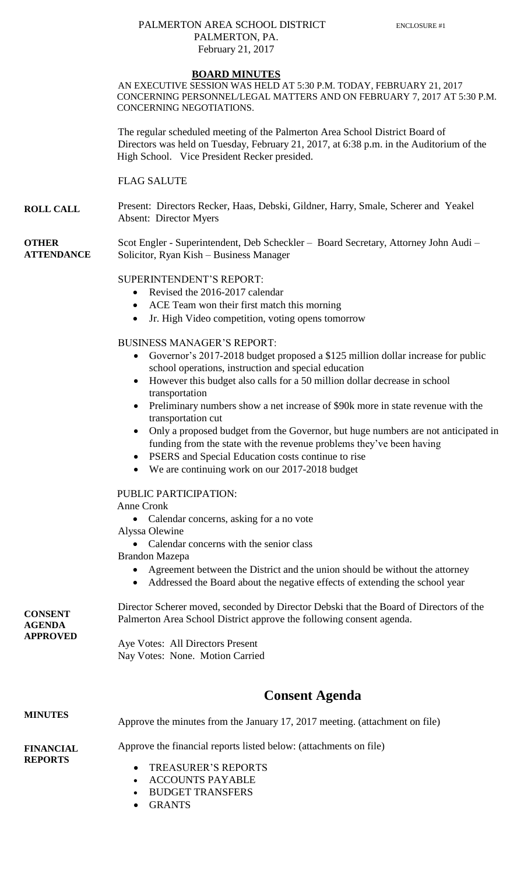#### PALMERTON AREA SCHOOL DISTRICT ENCLOSURE #1 PALMERTON, PA. February 21, 2017

#### **BOARD MINUTES**

AN EXECUTIVE SESSION WAS HELD AT 5:30 P.M. TODAY, FEBRUARY 21, 2017 CONCERNING PERSONNEL/LEGAL MATTERS AND ON FEBRUARY 7, 2017 AT 5:30 P.M. CONCERNING NEGOTIATIONS.

The regular scheduled meeting of the Palmerton Area School District Board of Directors was held on Tuesday, February 21, 2017, at 6:38 p.m. in the Auditorium of the High School. Vice President Recker presided.

FLAG SALUTE

**ROLL CALL** Present: Directors Recker, Haas, Debski, Gildner, Harry, Smale, Scherer and Yeakel Absent: Director Myers

**OTHER ATTENDANCE** Scot Engler - Superintendent, Deb Scheckler – Board Secretary, Attorney John Audi – Solicitor, Ryan Kish – Business Manager

#### SUPERINTENDENT'S REPORT:

- Revised the 2016-2017 calendar
- ACE Team won their first match this morning
- Jr. High Video competition, voting opens tomorrow

#### BUSINESS MANAGER'S REPORT:

- Governor's 2017-2018 budget proposed a \$125 million dollar increase for public school operations, instruction and special education
- However this budget also calls for a 50 million dollar decrease in school transportation
- Preliminary numbers show a net increase of \$90k more in state revenue with the transportation cut
- Only a proposed budget from the Governor, but huge numbers are not anticipated in funding from the state with the revenue problems they've been having
- PSERS and Special Education costs continue to rise
- We are continuing work on our 2017-2018 budget

PUBLIC PARTICIPATION:

- Anne Cronk
	- Calendar concerns, asking for a no vote
- Alyssa Olewine
	- Calendar concerns with the senior class
- Brandon Mazepa
	- Agreement between the District and the union should be without the attorney
	- Addressed the Board about the negative effects of extending the school year

**CONSENT AGENDA APPROVED** Director Scherer moved, seconded by Director Debski that the Board of Directors of the Palmerton Area School District approve the following consent agenda.

Aye Votes: All Directors Present Nay Votes: None. Motion Carried

## **Consent Agenda**

#### **MINUTES FINANCIAL REPORTS** Approve the minutes from the January 17, 2017 meeting. (attachment on file) Approve the financial reports listed below: (attachments on file) TREASURER'S REPORTS

- 
- ACCOUNTS PAYABLE
- BUDGET TRANSFERS
- GRANTS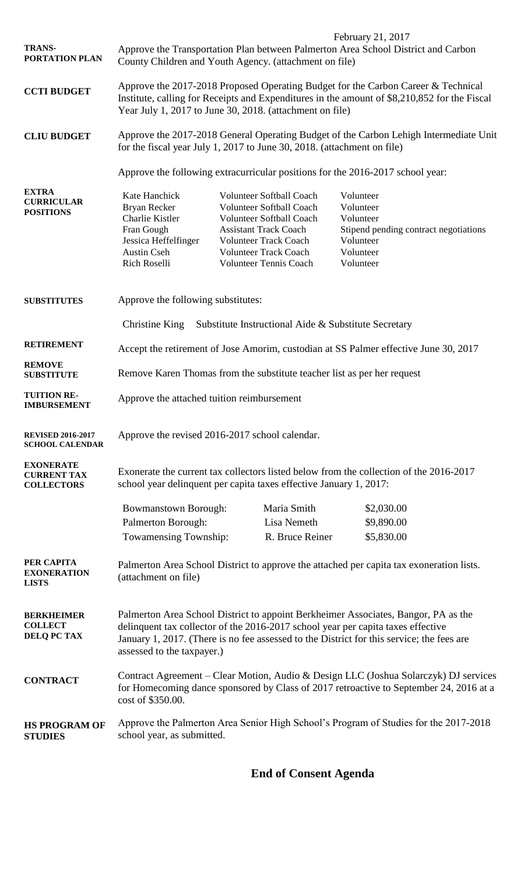|                                                             | February 21, 2017                                                                                                                                                                                                                                                                                 |                                                                                                                                                                                                                                        |                 |                                                                                                                     |
|-------------------------------------------------------------|---------------------------------------------------------------------------------------------------------------------------------------------------------------------------------------------------------------------------------------------------------------------------------------------------|----------------------------------------------------------------------------------------------------------------------------------------------------------------------------------------------------------------------------------------|-----------------|---------------------------------------------------------------------------------------------------------------------|
| <b>TRANS-</b><br>PORTATION PLAN                             | Approve the Transportation Plan between Palmerton Area School District and Carbon<br>County Children and Youth Agency. (attachment on file)                                                                                                                                                       |                                                                                                                                                                                                                                        |                 |                                                                                                                     |
| <b>CCTI BUDGET</b>                                          | Approve the 2017-2018 Proposed Operating Budget for the Carbon Career & Technical<br>Institute, calling for Receipts and Expenditures in the amount of \$8,210,852 for the Fiscal<br>Year July 1, 2017 to June 30, 2018. (attachment on file)                                                     |                                                                                                                                                                                                                                        |                 |                                                                                                                     |
| <b>CLIU BUDGET</b>                                          | Approve the 2017-2018 General Operating Budget of the Carbon Lehigh Intermediate Unit<br>for the fiscal year July 1, 2017 to June 30, 2018. (attachment on file)                                                                                                                                  |                                                                                                                                                                                                                                        |                 |                                                                                                                     |
|                                                             | Approve the following extracurricular positions for the 2016-2017 school year:                                                                                                                                                                                                                    |                                                                                                                                                                                                                                        |                 |                                                                                                                     |
| <b>EXTRA</b><br><b>CURRICULAR</b><br><b>POSITIONS</b>       | Kate Hanchick<br>Bryan Recker<br>Charlie Kistler<br>Fran Gough<br>Jessica Heffelfinger<br><b>Austin Cseh</b><br>Rich Roselli                                                                                                                                                                      | <b>Volunteer Softball Coach</b><br><b>Volunteer Softball Coach</b><br><b>Volunteer Softball Coach</b><br><b>Assistant Track Coach</b><br><b>Volunteer Track Coach</b><br><b>Volunteer Track Coach</b><br><b>Volunteer Tennis Coach</b> |                 | Volunteer<br>Volunteer<br>Volunteer<br>Stipend pending contract negotiations<br>Volunteer<br>Volunteer<br>Volunteer |
| <b>SUBSTITUTES</b>                                          | Approve the following substitutes:                                                                                                                                                                                                                                                                |                                                                                                                                                                                                                                        |                 |                                                                                                                     |
|                                                             | Christine King<br>Substitute Instructional Aide & Substitute Secretary                                                                                                                                                                                                                            |                                                                                                                                                                                                                                        |                 |                                                                                                                     |
| <b>RETIREMENT</b>                                           | Accept the retirement of Jose Amorim, custodian at SS Palmer effective June 30, 2017                                                                                                                                                                                                              |                                                                                                                                                                                                                                        |                 |                                                                                                                     |
| <b>REMOVE</b><br><b>SUBSTITUTE</b>                          | Remove Karen Thomas from the substitute teacher list as per her request                                                                                                                                                                                                                           |                                                                                                                                                                                                                                        |                 |                                                                                                                     |
| <b>TUITION RE-</b><br><b>IMBURSEMENT</b>                    | Approve the attached tuition reimbursement                                                                                                                                                                                                                                                        |                                                                                                                                                                                                                                        |                 |                                                                                                                     |
| <b>REVISED 2016-2017</b><br><b>SCHOOL CALENDAR</b>          | Approve the revised 2016-2017 school calendar.                                                                                                                                                                                                                                                    |                                                                                                                                                                                                                                        |                 |                                                                                                                     |
| <b>EXONERATE</b><br><b>CURRENT TAX</b><br><b>COLLECTORS</b> | Exonerate the current tax collectors listed below from the collection of the 2016-2017<br>school year delinquent per capita taxes effective January 1, 2017:                                                                                                                                      |                                                                                                                                                                                                                                        |                 |                                                                                                                     |
|                                                             | <b>Bowmanstown Borough:</b>                                                                                                                                                                                                                                                                       |                                                                                                                                                                                                                                        | Maria Smith     | \$2,030.00                                                                                                          |
|                                                             | Palmerton Borough:                                                                                                                                                                                                                                                                                |                                                                                                                                                                                                                                        | Lisa Nemeth     | \$9,890.00                                                                                                          |
|                                                             | Towamensing Township:                                                                                                                                                                                                                                                                             |                                                                                                                                                                                                                                        | R. Bruce Reiner | \$5,830.00                                                                                                          |
| PER CAPITA<br><b>EXONERATION</b><br><b>LISTS</b>            | Palmerton Area School District to approve the attached per capita tax exoneration lists.<br>(attachment on file)                                                                                                                                                                                  |                                                                                                                                                                                                                                        |                 |                                                                                                                     |
| <b>BERKHEIMER</b><br><b>COLLECT</b><br>DELQ PC TAX          | Palmerton Area School District to appoint Berkheimer Associates, Bangor, PA as the<br>delinquent tax collector of the 2016-2017 school year per capita taxes effective<br>January 1, 2017. (There is no fee assessed to the District for this service; the fees are<br>assessed to the taxpayer.) |                                                                                                                                                                                                                                        |                 |                                                                                                                     |
| <b>CONTRACT</b>                                             | Contract Agreement – Clear Motion, Audio & Design LLC (Joshua Solarczyk) DJ services<br>for Homecoming dance sponsored by Class of 2017 retroactive to September 24, 2016 at a<br>cost of \$350.00.                                                                                               |                                                                                                                                                                                                                                        |                 |                                                                                                                     |
| <b>HS PROGRAM OF</b><br><b>STUDIES</b>                      | Approve the Palmerton Area Senior High School's Program of Studies for the 2017-2018<br>school year, as submitted.                                                                                                                                                                                |                                                                                                                                                                                                                                        |                 |                                                                                                                     |

# **End of Consent Agenda**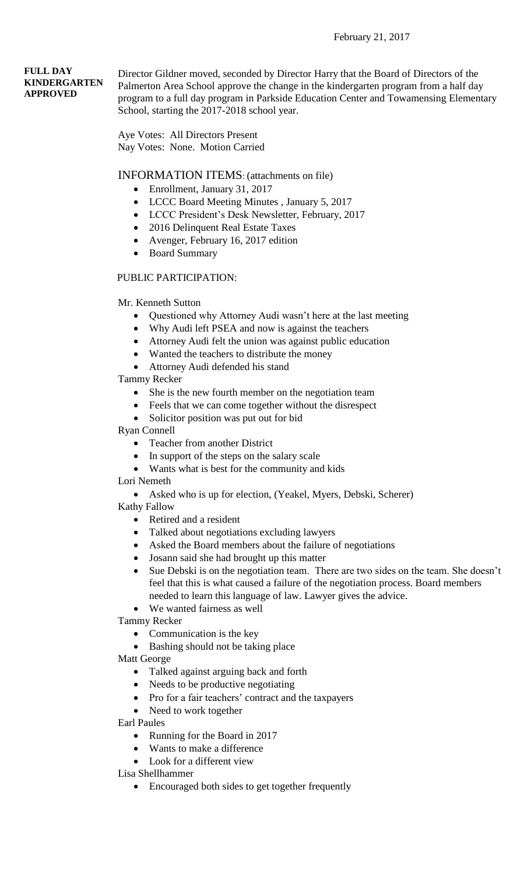#### February 21, 2017

#### **FULL DAY KINDERGARTEN APPROVED**

Director Gildner moved, seconded by Director Harry that the Board of Directors of the Palmerton Area School approve the change in the kindergarten program from a half day program to a full day program in Parkside Education Center and Towamensing Elementary School, starting the 2017-2018 school year.

Aye Votes: All Directors Present Nay Votes: None. Motion Carried

#### INFORMATION ITEMS: (attachments on file)

- Enrollment, January 31, 2017
- LCCC Board Meeting Minutes , January 5, 2017
- LCCC President's Desk Newsletter, February, 2017
- 2016 Delinquent Real Estate Taxes
- Avenger, February 16, 2017 edition
- Board Summary

#### PUBLIC PARTICIPATION:

#### Mr. Kenneth Sutton

- Questioned why Attorney Audi wasn't here at the last meeting
- Why Audi left PSEA and now is against the teachers
- Attorney Audi felt the union was against public education
- Wanted the teachers to distribute the money
- Attorney Audi defended his stand

Tammy Recker

- She is the new fourth member on the negotiation team
- Feels that we can come together without the disrespect
- Solicitor position was put out for bid

Ryan Connell

- Teacher from another District
- In support of the steps on the salary scale
- Wants what is best for the community and kids

Lori Nemeth

Asked who is up for election, (Yeakel, Myers, Debski, Scherer)

Kathy Fallow

- Retired and a resident
- Talked about negotiations excluding lawyers
- Asked the Board members about the failure of negotiations
- Josann said she had brought up this matter
- Sue Debski is on the negotiation team. There are two sides on the team. She doesn't feel that this is what caused a failure of the negotiation process. Board members needed to learn this language of law. Lawyer gives the advice.
- We wanted fairness as well

Tammy Recker

- Communication is the key
- Bashing should not be taking place

Matt George

- Talked against arguing back and forth
- Needs to be productive negotiating
- Pro for a fair teachers' contract and the taxpayers
- Need to work together

Earl Paules

- Running for the Board in 2017
- Wants to make a difference
- Look for a different view

Lisa Shellhammer

• Encouraged both sides to get together frequently